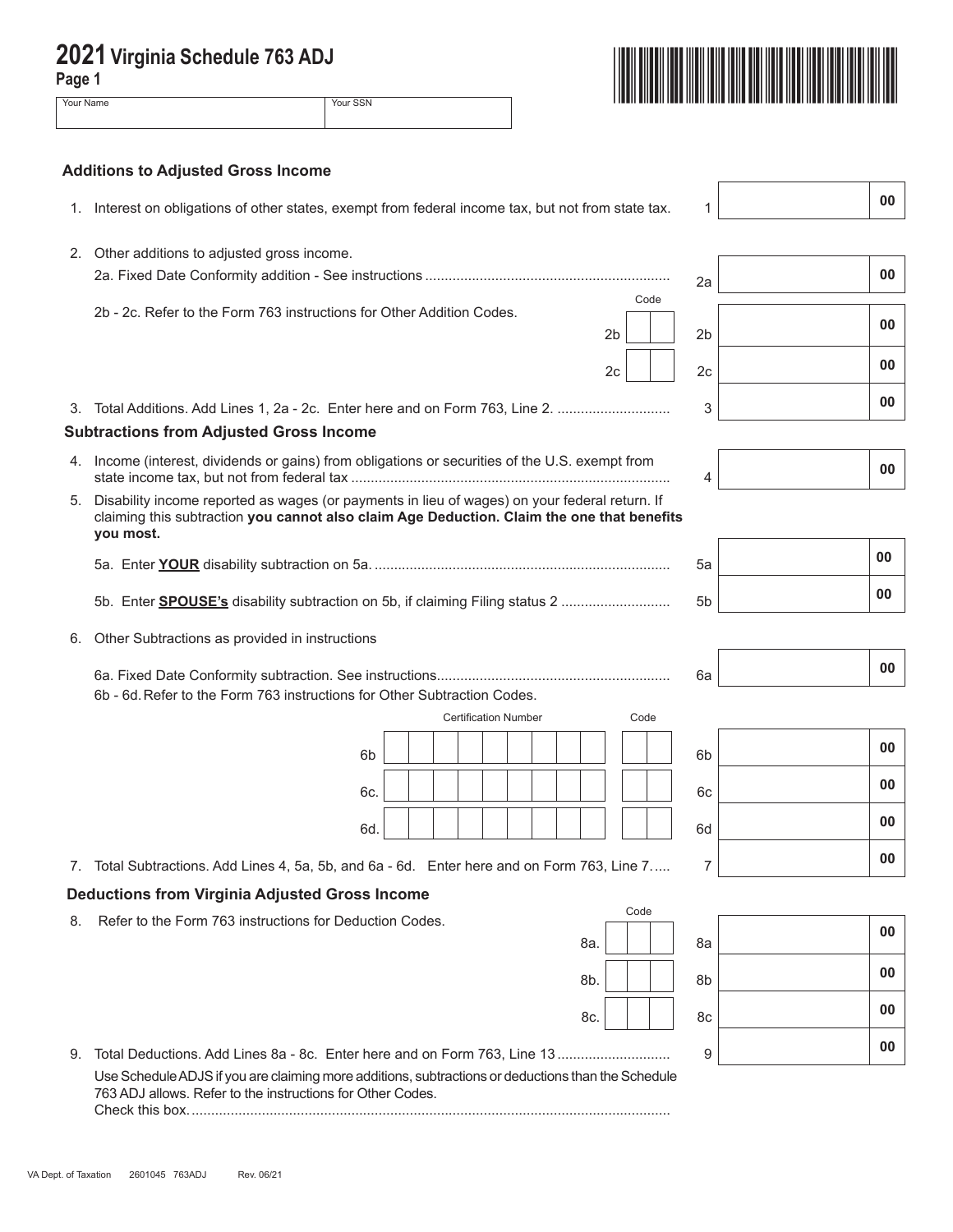| Page 1 | 2021 Virginia Schedule 763 ADJ                                                                                                                                                                           |                |     |
|--------|----------------------------------------------------------------------------------------------------------------------------------------------------------------------------------------------------------|----------------|-----|
|        | Your Name<br>Your SSN                                                                                                                                                                                    |                |     |
|        | <b>Additions to Adjusted Gross Income</b>                                                                                                                                                                |                |     |
| 1.     | Interest on obligations of other states, exempt from federal income tax, but not from state tax.                                                                                                         | 1              | 00  |
| 2.     | Other additions to adjusted gross income.                                                                                                                                                                | 2a             | 00  |
|        | Code<br>2b - 2c. Refer to the Form 763 instructions for Other Addition Codes.<br>2 <sub>b</sub>                                                                                                          | 2 <sub>b</sub> | 00  |
|        | 2 <sub>c</sub>                                                                                                                                                                                           | 2 <sub>c</sub> | 00  |
|        | 3. Total Additions. Add Lines 1, 2a - 2c. Enter here and on Form 763, Line 2.<br><b>Subtractions from Adjusted Gross Income</b>                                                                          | 3              | 00  |
|        | 4. Income (interest, dividends or gains) from obligations or securities of the U.S. exempt from                                                                                                          | 4              | 00  |
| 5.     | Disability income reported as wages (or payments in lieu of wages) on your federal return. If<br>claiming this subtraction you cannot also claim Age Deduction. Claim the one that benefits<br>you most. |                |     |
|        |                                                                                                                                                                                                          | 5a             | 00  |
|        | 5b. Enter <b>SPOUSE's</b> disability subtraction on 5b, if claiming Filing status 2                                                                                                                      | 5 <sub>b</sub> | 00  |
| 6.     | Other Subtractions as provided in instructions                                                                                                                                                           |                |     |
|        |                                                                                                                                                                                                          | 6a             | 00  |
|        | 6b - 6d. Refer to the Form 763 instructions for Other Subtraction Codes.<br><b>Certification Number</b><br>Code                                                                                          |                |     |
|        |                                                                                                                                                                                                          |                | 00  |
|        | 6 <sub>b</sub>                                                                                                                                                                                           | 6 <sub>b</sub> | 00  |
|        | 6c.                                                                                                                                                                                                      | 6с             |     |
|        | 6d.                                                                                                                                                                                                      | 6d             | 00  |
| 7.     | Total Subtractions. Add Lines 4, 5a, 5b, and 6a - 6d. Enter here and on Form 763, Line 7                                                                                                                 | 7              | 00  |
|        | <b>Deductions from Virginia Adjusted Gross Income</b><br>Code                                                                                                                                            |                |     |
| 8.     | Refer to the Form 763 instructions for Deduction Codes.                                                                                                                                                  |                | n n |

8c. **00 00** 9. Total Deductions. Add Lines 8a - 8c. Enter here and on Form 763, Line 13 ............................. <sup>9</sup> **<sup>00</sup>** Use Schedule ADJS if you are claiming more additions, subtractions or deductions than the Schedule 763 ADJ allows. Refer to the instructions for Other Codes. Check this box............................................................................................................................

8a.

| 6b | 00 |
|----|----|
| 6c | 00 |
| 6d | 00 |
| 7  | 00 |
|    |    |
| 8a | 00 |

8b. **| | | | 8**b **00**